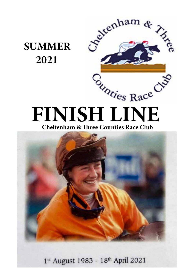



# **FINISH LINE Cheltenham & Three Counties Race Club**



1st August 1983 - 18th April 2021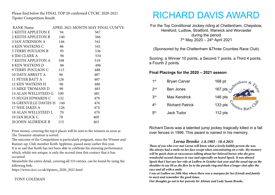Please find below the FINAL TOP 20 confirmed CTCRC 2020-2021 Tipster Competition Result.

|                          |     | RANK Name APRIL 2021 MONTH MAY FINAL CUM'VE |
|--------------------------|-----|---------------------------------------------|
| 1 KEITH APPLETON E       | 94  | 567                                         |
| 2 KEITH APPLETON B       | 140 | 566                                         |
| 3 IAN ATKINSON A         | 146 | 541                                         |
| 4 KEN WATKINS C 86       |     | 541                                         |
| 5 TERRY POULSON B 95     |     | 536                                         |
| 6 JIM CLARK A            | 96  | 534                                         |
| 7 KEITH APPLETON A 108   |     | 519                                         |
| 8 KEN WATKINS D 86       |     | 496                                         |
| 9 TERRY POULSON C 115    |     | 488                                         |
| 10 DAVE ABBATT A 96      |     | 487                                         |
| 11 PETER BATT A 126      |     | 487                                         |
| 12 KEN WATKINS H 96      |     | 486                                         |
| 13 MIKE TROMANS D 90     |     | 483                                         |
| 14 ALAN WELLSTEED G 100  |     | 481                                         |
| <b>15 HUGH EDWARDS C</b> | 132 | 479                                         |
| 16 GRENVILLE DAVIES H    | 140 | 476                                         |
| 17 NEIL JAKES A          | 126 | 474                                         |
| 18 ALAN WELLSTEED L 70   |     | 470                                         |
| 19 IAN BLICK C<br>78     |     | 469                                         |
| 20 JOHN ALDRIDGE B 115   |     | 463                                         |

Prize money, covering the top 6 places will be sent to the winners as soon as The Treasurer situation is sorted.

The outcome of the Competition is particularly poignant, since the Winner and Runner-up, Club member Keith Appleton, passed away earlier this year. It is so sad that Keith has not been able to celebrate his stunning performance which, whilst not unique, is only the second time this century that it has occurred.

Meanwhile the entire detail, covering all 333 entries, can be found by using the following link:

https://www.ctcrc.co.uk/tipsters\_2020\_2021.html

### TONY COLEMAN

# RICHARD DAVIS AWARD

For the Top Conditional Jockey riding at Cheltenham, Chepstow, Hereford, Ludlow, Stratford, Warwick and Worcester during the period 7th May 2020 – 24th April 2021

(Sponsored by the Cheltenham &Three Counties Race Club)

Scoring: a Winner 10 points, a Second 7 points, a Third 4 points, a Fourth 2 points.

### **Final Placings for the 2020 – 2021 season**

| $1$ st          | <b>Bryan Carver</b>    | $168$ pt.                           |
|-----------------|------------------------|-------------------------------------|
| 2 <sub>nd</sub> | <b>Ben Jones</b>       | 167 pts                             |
| 3 <sup>rd</sup> | <b>Max Kendrick</b>    | $146$ pts                           |
| 4 <sup>th</sup> | <b>Richard Patrick</b> | 133 pts<br>unties Race <sup>C</sup> |
| 5 <sup>th</sup> | <b>Jack Tudor</b>      | $112$ pts                           |

Richard Davis was a talented jump jockey tragically killed in a fall over fences in 1996. This award is named in his memory.

### *Lorna Brooke 1.8.1983 - 18.4.2021*

*Those of you who ever met Lorna will know what a lovely bubbly person she was. She always had a smile on her face except when concentrating on a ride. My memory will be quick chats at racecourses talking about her beloved horses who she gave wonderful second chances to race and especially on board Spock. It was aboard Spock that I last saw her ride at Ludlow in October last year and the usual tap on the shoulder to say Hi as she flew by to the parade ring and then a longer chat after the race and all with a smile.* 

*I was at Ludlow on 24th May where there was a marquee for her friends and family to meet and remember the good times.* 

*Our thoughts go out to her parents Sir Alistair and Lady Susan Brooke.*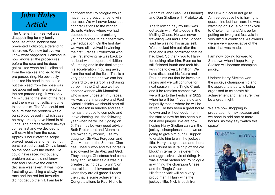# *John Hales Article*

The Cheltenham Festival was disappointing for my family because of the incident that prevented Politologue defending his crown. We now believe we know what happened. Politologue now knows all the procedures before the race and he does get excited when he is collected from the stables and led to the pre parade ring. He obviously knocked his head in the stable but the bleed from the nose was not apparent until he arrived at the pre parade ring. It was only 14 minutes to the start of the race and there was not sufficient time to scope him. The Vets could not be sure that the problem was a burst blood vessel in which case he may already have blood in his lungs. The horses welfare always comes first and we decided to withdraw him from the race. Approx 1 hour later the scope proved negative and he had not burst a blood vessel. Only a knock on the nose was the cause. He could have raced without any problem but we did not know that and I believe the correct decision was taken. It was more frustrating watching a slowly run race and the red hot favourite did not get up the hill. I am fairly

confident that Politologue would have had a great chance to win the race. We will never know but congratulations to the winner. So onto Aintree where we had decided to run our promising younger horses to help them with their education. On the first day we were all involved in winning the first 3 races. Protektorat won the first showing he was back to his best with a superb exhibition of jumping and in the final stages his acceleration in pulling away from the rest of the field. This is a very good horse and we can look forward to the start of his chasing career. In the 2nd race we had another winner with Monmiral who is now unbeaten in 5 races. He was very impressive and Paul Nicholls thinks we should start off next season in hurdles and see if he has the pace to compete and leave chasing until the following year when he will be 5 going on 6. This may be very good advice. Both Protektorat and Monmiral are owned by myself, Lisa my daughter, Sir Alex Ferguson and Ged Mason. In the 3rd race Clan des Obeaux won and this horse is also owned by Sir Alex and Ged. They thought Christmas had come early and Sir Alex said it was his greatest racing day. To win 3 on the trot is an achievement but when they are all grade 1 races then that is some achievement. Congratulations to Paul Nicholls

(Monmiral and Clan Des Obeaux) and Dan Skelton with Protektorat.

The following day my luck was out again with Politologue in the Melling Chase. He was never travelling well and Harry Cobden said he was not his usual self. We checked him out after the race and it was confirmed that he had bled. So thank you to Harry for looking after him. Even so he still finished fourth and took his winnings to over £1 million. We have discussed his future and Paul points out that he loves his racing and we will continue for next season in the Tingle Creek and if he remains competitive we will go to the Festival in 2022 when he will be 11 years old and hopefully that is where he will be retired. He has been a great horse to own and without doubt from the start to now he has been our best ever jumper. We are now hoping Harry Skelton can win the jockeys championship and we are going to give him our full support to enable him to win the jockeys title. Harry is a great lad and there is no doubt he is "a chip off the old block" in terms of his determing and aggressive style of riding. He was a great partner for Politologue in winning the champion Chase and the Tingle Creek. His father Nick will be a very proud man if Harry wins the jockeys title. Nick is back from

the USA but could not go to Aintree because he is having to quarantine but I am sure he was watching on TV.. a big thank you to Cheltenham and Aintree for putting on two great festivals in very difficult conditions. As owners we are very appreciative of the effort that was made.

I am now looking forward to Sandown when I hope Harry Skelton will become champion jockey.

Update: Harry Skelton won the jockeys championship and the appropriate party is being organised to celebrate his achievement and I am sure it will be a great night.

We are now shopping in preparation for next season and we hope to add one or more horses .as they say "watch this space"

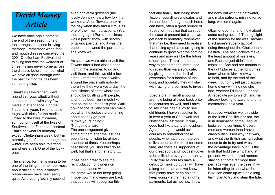# *David Massey Article*

We have once again come to the end of the season, one of the strangest seasons in living memory. I remember when foot and mouth disease cancelled the 2001 Cheltenham Festival and thinking that was the weirdest of times, having never come across the disease before that, but what we have all gone through over the past 12 months has been something else.

Thankfully Cheltenham went ahead this year, albeit without spectators, and with very few media in attendance. For the first time in years I was not able to go, with slots for the media limited to the bare minimum, so I found myself at the likes of Southwell and Fakenham instead. That's not what I'd normally expect Cheltenham week, but I'm eternally grateful that, through the winter, I've been able to attend anywhere at all. One of the lucky ones.

The silence, for me, is going to be one of the things I remember most about racing during lockdown. Racecourses have been eerily quiet. As a young lad, my second

ever long-term girlfriend (the lovely Jenny) knew a few folk that worked at Alton Towers, back in the day when they had a circus as one of their main attractions. (Yes, that long ago.) Part of the circus was a parrot show, with scores of talking parrots, and it was the people that owned the parrots that she knew well.

As such, we were able to visit the Towers after it had closed each night in the summer, to go and visit them, and this we did a few times. I remember those walks around the place with nobody there like they were yesterday, the total silence of somewhere that should be bustling with people, and it has been very much like that on the courses this year. Walk down to the rail and you can make out what the jockeys are chatting about as they go past. "How's yours going?" "Not going a yard".

The encouragement given to some of them after the last has been funny to listen to, almost hilarious at times. You perhaps hear things you shouldn't do as well, but that's another story.....

It has been great to see the reintroduction of owners on course, because without them the game would not keep going. I hope now that owners are back that courses will recognise this

fact and finally start being more flexible regarding syndicates and the number of badges each horse can have, often a great source of frustration. I realise that can't be the case at present but when we get back to normality, whenever that may be, they need to realise that racing syndicates are going to continue to grow over the coming years and may well be the future of our sport. There's no better way to get someone introduced to racing than via a syndicate, by giving people the thrill of ownership for a fraction of the cost, and hopefully they will stay with racing and continue to invest.

Spectators, in small amounts, are now being allowed back onto racecourses as well, and I have to say it has been a joy to see old friends I haven't spoken to in over a year at Southwell and Nottingham last week. It really does feel like a party atmosphere. Again, though, I would ask courses to remember these people, who have been starved of live action at the track for some time, are there as supporters of our great sport and not cash-cows to be milked at every opportunity. I fully realise courses have a deficit to make up but all will have a long-term plan and we know that plenty have been able to keep going via the media rights payments. Let us not now throw

the baby out with the bathwater, and make patrons, missing for so long, welcome again.

Okay, enough ranting, how about some racing action? The highlight of the season for me was Rachael Blackmore's superb tactical riding throughout the Cheltenham Festival. The best jockeys make the least amount of mistakes, and Rachael just didn't make mistakes. She had her mounts in the right places at the right times, knew when to kick, knew when to hold, and by the end of the week I found myself just clapping home every winning ride she had, whether I'd tipped it or not! An absolute joy to watch, and I'm already looking forward to another masterclass next year.

Because, whether we, this side of the Irish Sea like it or not, the Irish domination of the Festival looks set to continue. Cleverer men and women than I have already discussed why that was, and what the British racing system needs to do to try and wrestle the advantage back, but it is the Irish that hold the whip hand at present, with Irish-bred runners staying at home far more than perhaps was ever the case. It will be interesting to see what the BHA can come up with as a longterm plan to try and stem the tide.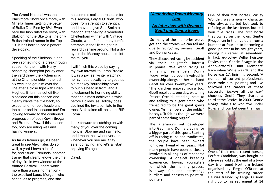The Grand National was the Blackmore Show once more, with Minella Times getting the better of Balko Des Flos by 6½l. Even here the Irish ruled the roost, with Blaklion, for the Skeltons, the only British trained runner in the Top 10. It isn't hard to see a pattern developing.

Speaking of the Skeltons, it has been something of a breakthrough season for them, with Harry becoming champion jockey after the yard threw the kitchen sink at the Championship in the last six weeks to get him over the line after a close fight with Brian Hughes. Brian has set off like a scolded cat this season and clearly wants the title back, so expect another epic tussle until the bitter end this season too! I'm looking forward to the continued progression of both Kevin Brogan and Brendan Powell this season too, both are riding well and having winners.

As far as trainers go, it's been great to see Alex Hales do so well, a yard I have a lot of time for, and Stuart Edmunds, another trainer that clearly knows the time of day, fire in two winners at the Aintree Festival. Others worth more than a passing mention the excellent Laura Morgan, who continues to progress, and she

has some excellent prospects for this season, Fergal O'Brien, who goes from strength to strength, and I have to give Sue Smith a mention after having a wonderful Cheltenham winner with Vintage Clouds, who after so many terrific attempts in the Ultima got his reward this time around. Not a dry eye in the Massey household, let me tell you.

I will finish this piece by saying my own farewell to Lorna Brooke. It was a joy last winter watching her sympathetically try to get that old monkey Yourholidayisover to put his head in front, and it is testament to her riding ability that she almost achieved it twice before Holiday, as Holiday does, declined the invitation late in the race. A life taken all too soon. RIP Lorna.

I look forward to catching up with many of you over the coming months. Stop me and say hello, and I mean that, whenever and whenever you see me. Stay safe, go racing, and let's all start enjoying life again.

David.

## *Meandering Down Memory Lane An Interview with Owners*

*Geoff and Donna Keeys*

'So many of the memories we've got and the stories we can tell are due to racing,' say owners Geoff and Donna Keeys.

They discovered racing by accident via their daughter's interest in ponies. 'We went racing as a family,' remembers Donna Keeys, who has been involved in ownership alongside her husband Geoff for over twenty-five years. 'The children enjoyed going too. Geoff recollects, one day, watching Desert Orchid, standing next to and talking to a gentleman who transpired to be the great grey's owner. 'As members of the public,' he says, 'it felt as though we were part of something bigger.'

The afternoons out developed into Geoff and Donna craving for a bigger part of this sport. Starting off in racing clubs and syndicates, the couple have been owners for over twenty-five years. Not many people have been so closely involved in all angles of racehorse ownership. A one-off breeding experience, buying youngsters for which 'the naming process is always fun and interesting', hurdlers and chasers to point-topointers.

One of their first horses, Wisley Wonder, was a quirky character who always started but took to refusing at the last fence, but still won five races. The first horse they owned on their own, Gentle Rivage, ran in their colours from a bumper at four up to becoming a good 'pointer in his twilight years, ending his career at seventeen. In fact, ex-jockey Willie Twiston-Davies rode Gentle Rivage in the Andoversford's Hunt Members' Race when Willie was 16 and the horse was 17, finishing second. 'A number of current professionals once rode him 'pointing and I've followed the careers of these successful jockeys all the way,' chuckles Geoff. They shared a third at the Festival in 2000, Gentle Rivage, who also won five under Rules and four between the flags.



One of their more recent horses, Perfect Candidate, was bought as a five-year-old at the end of a twoday trip round Northern Ireland organised by Fergal O'Brien at the start of his training career. He was trained by Fergal O'Brien right up to his retirement at 14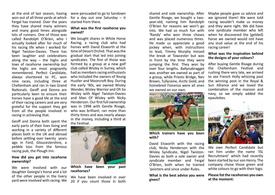at the end of last season, having won out of all three yards at which Fergal has trained. Over the years they have shared many winners and many good times alongside lots of runners. One of those was called Randolph O'Brien, who I actually looked after for much of his racing life when I worked for Nigel Twiston-Davies. There has been laughter and celebrations along the way  $-$  the highs and lows of racehorse ownership but the highs are most poignantly remembered. Perfect Candidate, always shortened to PC, won nine races, including three at Cheltenham and ran in two Grand Nationals. Geoff and Donna are particularly keen to ensure their horses have a good life at the end of their racing careers and are very grateful for the support they get from all the people involved in racing in achieving that.

Geoff and Donna both spent the early parts of their lives living and working in a variety of different places both in the UK and abroad before settling over twenty years ago in Ford, Gloucestershire, a pebble toss from the famous racing pub, the Plough Inn.

#### **How did you get into racehorse ownership?**

We were involved with our daughter Georgia's horse and a lot of the other people in the livery yard were involved with racing. We

were persuaded to go to Sandown for a day out one Saturday – it started from there.

#### **What was the first racehorse you owned?**

We bought shares in White Horse Racing, a racing club who had horses with David Elsworth at the time of Desert Orchid. That was the gradual start that led into joining syndicates. The first of those was formed by a group at a new golf club called Wisley in Surrey, which had as members racing enthusiasts who included the owners of Young Hustler and Moorcroft Boy. During the early '90s, we owned Wisley Wonder, Wisley Warrior and Oh So Wisley with Nigel Twiston-Davies and Man Of Wisley with Nicky Henderson. Our first full ownership was in 1998 with Gentle Rivage, who was brilliant; ran more than thirty times and was nearly always in the money, including a third at the Festival.



**Which have been your past racehorses?**

We have been involved in over 20 if you count those in both shared and sole ownership. After Gentle Rivage, we bought a twoyear-old, naming him Randolph O'Brien for reasons we won't go into. We had so much fun with 'Randy' who won three chases and was placed numerous times. He made us appreciate a good jockey when, with instructions to lead, Timmy Murphy missed the break at Towcester but was in front by the time they were jumping the first. They won by over four lengths. Ballynabragget was another we owned as part of a group, while Priests Bridge, Nev Brown, Tullyraine, Arctic Gold, and homebred Fiorenza were all ones we owned on our own.



**Which trainers have you been with?**

David Elsworth with the racing club, Nicky Henderson with the Wisley Syndicate, Nigel Twiston-Davies as both a sole owner and syndicate member and Fergal O'Brien, both when he trained 'pointers and since under Rules.

**What is the best advice you were given?**

Maybe people gave us advice and we ignored them! We were told racing wouldn't make us money and they were right. We did have one syndicate member who left when he discovered the (gelded) horse we owned would not have any stud value at the end of his racing career!

#### **What was the inspiration behind the designs of your colours?**

After buying Gentle Rivage during the Cheltenham Festival and rushing there very late, we arrived to see French Holly whizzing past the winning post in the Royal & Sun Alliance and we loved the combination of the maroon and navy, so we simply added the epaulettes.



We own Perfect Candidate but ran him under the name 'ISL Recruitment' which had recently been started by our son Henry. The company chose those green and white colours to go with their logo.

**Please list the racehorses you own at the moment:**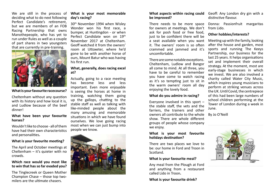We are still in the process of deciding what to do next following Perfect Candidate's retirement, but we are members of an FOB Racing Partnership that owns Manothepeople, who has yet to run under Rules as well as a couple of part shares in two youngsters that are currently in pre-training.



#### **What is your favourite racecourse?**

Cheltenham without any question with its history and how local it is, and Ludlow because of the beef dinner!

#### **What have been your favourite horses?**

Wouldn't like to choose - all of them have had their own characteristics and personalities**.**

#### **What is your favourite meeting?**

The April and October meetings at Cheltenham – it's quieter with no crowds.

#### **Which race would you most like to win that has so far evaded you?**

The Tinglecreek or Queen Mother Champion Chase – those top twomilers are the ultimate chasers.

#### **What is your most memorable day's racing?**

30th November 1994 when Wisley Wonder won his first race, a bumper, at Huntingdon - or when Perfect Candidate won on 19th November 2017 at Cheltenham. Geoff watched it from the owners' room at Uttoxeter, where he'd gone to be with another horse of ours, Mount Batur who was having his first run.

#### **What, generally, does racing excel at?**

Actually, going to a race meeting has become less and less important. Even more enjoyable is seeing the horses at home in training, watching them going up the gallops, chatting to the stable staff as well as talking with like-minded people about the many amusing and memorable situations in which we have found ourselves. We love going racing most when we can just bump into people we know.



#### **What aspects within racing could**  Geoff: Any London dry gin with a **be improved?**

There needs to be more space for owners at meetings. We don't ask for posh food or free food, just to be confident there will be a seat available when you want it. The owners' room is so often crammed and jammed and it's uncomfortable.

There are some notable exceptions. Cheltenham, Ludlow and Bangor all come to mind. At all three, you have to be careful to remember you have come to watch racing as it's so tempting just to sit in the warm owners' room all day enjoying the lovely food.

#### **What do you admire in racing?**

Everyone involved in this sport – the stable staff, the vets and the farriers, the trainers and other owners all contribute to the whole show. There are whole different groups of people whose company we enjoy.

#### **What is your most favourite holidays destination?**

There are two places we love to be: our home in Ford and Troon in Scotland.

#### **What is your favourite meal?**

Any meal from the Plough at Ford and anything from a restaurant called Lido in Troon**.**

**What is your favourite drink?**

distinctive flavour.

Donna: Passionfruit margaritas from Lido.

#### **Other hobbies/interests?**

Meeting up with the family, looking after the house and garden, most sports and running The Keeys Partnership, our business for the last 25 years. It helps organisations set and implement their overall strategy. At the moment, most are early-stage businesses in which we invest. We are also involved a charity called Water City Music, which inspires young musicians to perform at striking venues across the UK. Until Covid, the centrepiece of this had been large numbers of school children performing at the Tower of London during a week in June.

By Jo O'Neill

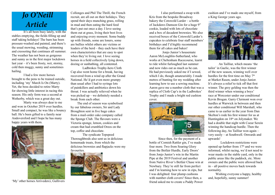# *Jo O'Neill Article*

It's all been busy lately, with the stables emptying, the fields filling up and staff taking holidays! The barn has been pressure-washed and painted, and there's the usual mowing, weeding, strimming and creosoting that continues all summer. The weather has not been as gorgeous and sunny as in the first major lockdown last year – it's been frosty, wet, stormy, cold then muggy, sunny and sometimes hailing.

I had a few more horses brought to the pens to be trained outside, including 'my' March Is On (Marty). Yet, the boss decided to retire Marty for showing little interest in racing this season. His only form was a second at Wetherby, which was a great day out.

Marty was always dear to me and won in October 2019 over hurdles. Small and compact, he was like a bouncy ball. He's been gifted to a family near Andoversford and I hope he has many happy years with them.



'My' other horses Arrivederci, Gullivers

Collonges and Phil The Thrill, the French recruit, are all out on their holidays. They spend their days munching grass, rolling in mud and then eating the hard feed that's put out once a day. I love seeing them out at grass, living their best lives and enjoying every moment. Some buddy up with friends, some are loners, some are bullies whilst others are victims or leaders of the herd – they each have their own characteristics that are easy to spot when they're living out. I love seeing horses in a field collectively lying down, dozing or sunbathing, all contented.

Ladbrokes Trophy-hero Cloth Cap also went home for a break, having recovered from a wind op after the Grand National. He'd got even more grumpy than usual after I had to syringe lots of painkillers and antibiotics down his throat. I was actually relieved when he was picked up – we definitely needed a break from each other.

 The end of season was symbolised by our fabulous owners, Sir and Lady Broughton sent in five huge cakes from a mail-order cake company called the Sponge Club. The flavours were a Victoria sponge, lemon, cookies and cream that had crumbled Oreos on the top, coffee and chocolate.

The syndicate Topspeed Thoroughbreds also sent us in delicious homemade treats, from which the delicious brownies and flapjacks were my favourites.



I also performed a swap with Kris from the bespoke Broadway bakery the Cotswold Larder – a bottle of Jackdaws Damson Gin for a huge 9" cookie, loaded with lots of chocolate and a box of decadent brownies. We also received boxes of the Cotswold Larder's cupcakes to celebrate four staff members' birthdays and I'd highly recommend them for all cakes and bakes!

 Jonjo Junior's housemate Aaron McLoughlin-Sutherland, who works at Cheltenham Racecourse, learnt to ride whilst furloughed last summer and now rides out as much as he can. He had previously asked me if I sewed, which I do, though amateurishly. I made metres of bunting for my wedding after learning how to use a sewing machine. Aaron gave me a number cloth that was a replica of Cloth Cap's in the Ladbrokes' Trophy and I made a bright red cushion cover.



 Since then, for the payment of a bottle of Cornish Rattler gin, I've made four more. Two from Soaring Glory from the Betfair Hurdle, Early Doors' from Jonjo Junior's win in the Martin Pipe at the 2019 Festival and another from Native River's Betfair Chase win at Newbury. They're still far from perfect and I'm learning how to sew in zips, but I was delighted: four plump cushions with number cloth covers! Since then, a friend asked me to create a Paddy Power

cushion and I've made one myself, from a King George years ago.



 An Tailliur, which means 'the tailor' in Gaelic, was the first winner of the new season, winning well over hurdles for the first time on May  $7<sup>th</sup>$ at Market Rasen, under Jonjo Junior. It's always a relief to tick off that first winner. The grey gelding was then the third winner when winning a boys' race at Worcester under our conditional Kevin Brogan. Garry Clermont won over hurdles at Warwick in between and then our other conditional Will Marshall, who came to us earlier in the year from Dan Skelton's rode his first winner for us at Huntingdon on 18th on Jolymaker. We had a double that night with Coeur Serein winning the handicap hurdle. Then the following day, An Tailliur won again – very easily – at Southwell. Onwards and upwards!

 Lockdown restrictions were opened up further from 17<sup>th</sup> and we were informed, whilst racing, we'd not need to wear masks in the stable yard, only in the public areas like the paddock, etc. More owners and the public were allowed back in – all positive moves back towards normality.

 Wishing everyone a happy, healthy and, hopefully, sunny summer!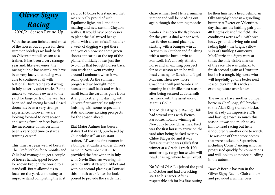

With the season finished and most of the horses out at grass for their summer holidays we look back on Oliver's first full season as a trainer. It has been a very strange year and, like everyone's, the racing bubble has shrunk. we have been very lucky that racing was able to continue at all with National Hunt racing re-starting in July at eerily quiet tracks. Being unable to welcome owners to the yard for large parts of the year has been sad and racing behind closed doors has been a very strange experience, however, we are looking forward to next season and seeing familiar faces back on the racecourse. It has certainly been a very odd time to start a training career!

This time last year we had been at The Croft Stables for 6 months and Ollie had managed to get a couple of horses handicapped before lockdown brought the world to a standstill. But it allowed us to focus on the yard, continuing to improve itand completing the first

yard of 16 boxes to a standard that we are really proud of with Equilume lights, wall and floor matting and new custom Claydon walker. It would have been easier to plant the 840 mixed hedge plants with a team of staff but after a week of digging we got there and you can now see some green shoots appearing at the top of the planters! Initially it was just the two of us that brought horses back into work and went trotting around Lambourn when it was really quiet. As the summer progressed we brought more horses and staff back and with a small team the yard has gone from strength to strength, starting with Oliver's first winner last July and finishing with some respectable stats and some exciting prospects for the season ahead.

Etat Major Aulmes has been a stalwart of the yard, purchased by Ollie whilst still an assistant trainer, 'Al' was the first runner in a bumper at Carlisle under Oliver's name in November 2019. He provided the first winner in July with Gavin Sheehan wearing his parent's silks at Newton Abbot and with his second placing at Fontwell this month over fences he looks poised to provide the yard's first

chase winner too! He is a summer jumper and will be heading out again though the coming months.

Sambezi has been the flag bearer for the yard, a dual winner with two further second placings, starting with a bumper win at Hexham in October and finishing with a novice hurdle win at Fontwell. He's a lovely athletic horse and an exciting prospect for next season when he will head chasing for Sarah and Nigel McLean. Their new horse Coachman will join Sambezi in running in their silks next season, after being secured at Tattersalls last week with the assistance of Marcus Collie.

The Mick Fitzgerald Racing Club had several runs with French Paradoxe, notably winning at Newbury before Christmas. Fred was the first horse to arrive on the yard after being hacked over by Chloe Fitzgerald and it was fantastic that he was Ollie's first winner at a Grade 1 track. He's another big, rangy horse who will head chasing, where he will excel.

No Word Of A Lie joined the yard in October and had a cracking start to his career. After a respectable 4th for his first outing

he then finished a head behind an Olly Murphy horse in a gruelling bumper at Exeter on Valentines day that saw the battling pair pull 40 lengths clear of the field. The conditions were awful, with wet heavy ground, driving rain and fading light - the bright yellow silks of Dunkley, Gumienny, MacKenzie and Signy were at times the only visible marker of the race. He was unlucky to finish second again at Uttoxeter but he is a tough, big horse who will hopefully go one better next season over hurdles with an exciting future over fences.

The owners have another bumper horse in Chef Bogo, full brother to the Alan King trained Blacko, he's already an impressive 17h and having grown so much this season, it was too much to ask him to head racing but he is undoubtedly another one to watch. He was one of three store horses that were backed in September, including Come Dancing who has progressed quickly for connections and will look to go novice hurdling in the autumn.

Dave & Bernie has run in the Oliver Signy Racing Club colours and provided a winner over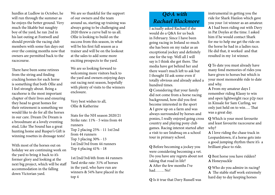hurdles at Ludlow in October, he will run through the summer as he enjoys the better ground. Very much the likable but naughty boy of the yard, he ran 2nd in his last outing at Fontwell and should provide the racing club members with some fun days out over the coming months now that owners are permitted back to the racecourse.

There have been some retirees from the string and finding cracking homes for each horse is something that both Ollie and I feel strongly about. Being a racehorse is the most important chapter of their lives and ensuring they head to great homes for their retirement is something we would like to do for all the horses in our care. Dream De Dream is a broodmare at a lovely eventing stud, Like The Sound has a great hunting home and Rusper's Gift is winning rosettes in dressage tests!

With most of the horses out on holiday we are continuing work on the yard to bring it back to it's former glory and looking at the next big project, which will be staff accommodation in the falling down Victorian yard.

We are so thankful for the support of our owners and the team around us, starting up training was always going to be challenging and 2020 threw a curve ball to us all. Ollie is looking to build on the success from this season, in what will be his first full season as a trainer and will be on the lookout at the sales to add some more exciting prospects to the yard.

We are so looking forward to welcoming more visitors back to the yard and owners enjoying days out racing next season, hopefully with plenty of visits to the winners enclosure.

Very best wishes to all, Ollie & Katherine

Stats for the NH season 2020/21 Strike rate: 11% - 5 wins from 44 runners Top 2 placing 25% - 11 1st/2nd from 44 runners Top 3 placing 30% - 13 1st/2nd/3rd from 44 runners Top 4 placing 41% - 18

1st/2nd/3rd/4th from 44 runners Yard strike rate: 31% of horses in the yard, who have run are winners & 54% have placed in the top 4

## *Q&A with Rachael Blackmore*

I actually asked Rachael if she would do a Q&A for us back in February. Since I have been going racing in Ireland so much she has been on my radar as an exceptional jockey and definitely one for the top. Well all I will say is I think she got there. The media have got behind her and there wasn't much left to ask but I thought I'd ask some even if totally obvious and already asked a hundred times.

**Q** Considering that your family did not come from a horse racing background, how did you first become interested in the sport **A** I grew up on a farm and was always surrounded by horses and ponies, I really enjoyed going cross country and playing pony club games. Racing interest started after a visit to see Istabraq on a school tour in primary school.

**Q** Before becoming a jockey you were considering becoming a vet. Do you have any regrets about not taking that road in life? **A** After the few months I've had……. No!

**Q** Is it true that Davy Russell was

instrumental in getting you the ride for Shark Hanlon which gave you your 1st winner as an amateur. **A** I had been riding out with Davy in Pat Doyles at the time. I asked him if he would contact Shark for me to help me get the ride on the horse he had in a ladies race. He did that, it worked and that resulted in my 1st winner.

**Q** To date you must already have many fond memories of rides you have given to horses but which is your most memorable ride to date and why.

**A** From my amateur days I remember riding Klassy to win and open lightweight race p2p race in Kinsale for Sam Curling, we only just held on to win…. That was a great day.

**Q** Which is your most favourite and least favourite racecourse and why?

**A** I love riding the chase track in Leopardstown, if a horse gets into a good jumping rhythm there it's a brilliant place to ride.

**Q** Best horse you have ridden? **A** Honeysuckle

**Q** Who do you admire in racing? **A** The stable staff work extremely hard day to day keeping horses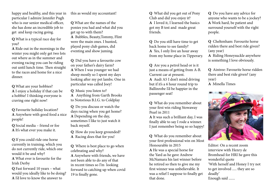happy and healthy, and this year in particular I admire Jennifer Pugh who is our senior medical officer, she has done an incredible job to get and keep racing going.

**Q** What is a typical race day for you?

**A** Ride out in the mornings in the winter you might only get two lots out where as in the summer and evening racing you can be riding out until lunch time. Then straight to the races and home for a nice dinner.

**Q** What are your hobbies? **A** I enjoy a holiday if that can be a hobbie! I thinking everyone is craving one right now!

**Q** Favourite holiday location? **A** Anywhere with good food a nice people!

**Q** Social media – friend or foe **A** It's what ever you make it.

**Q** If you could ride one horse currently in training, which you do not currently ride, which one would it be and why? **A** What ever is favourite for the Irish Derby

**Q** Fast forward 10 years – what would you ideally like to be doing? **A** I'd love to know the answer to

this as would my accountant!

**Q** What are the names of the ponies you had and what did you get up to with them? **A** Bubbles, Beauty,Tommy, Flint

were the main ones. I hunted, played pony club games, did eventing and show juming.

**Q** Did you have a favourite cow on your father's dairy farm? **A** When I was younger we had sheep mostly so I spent my days looking after my pet lambs. One in particular was called Joey!

**Q** Music you listen to? **A** Anything from Garth Brooks to Notorious B.I.G. to Coldplay

**Q** Do you discuss or watch the days racing when you get home? **A** Depending on the day, sometimes I like to just watch it back myself.

**Q** How do you keep grounded? **A** Racing does that for you!

**Q** Where is best place to go when celebrating and why? **A** Anywhere with friends, we have not been able to do any of that in recent times so I'm looking forward to catching up when covid 19 is finally gone.

**Q** What did you get out of Pony Club and did you enjoy it? **A** I loved it, I learned the basics got my B test and made great friends.

**Q** Do you still have time to get back home to see family? **A** Yes, I only live an hour away from my home place in Tipperary.

**Q** Are you a petrol head or is it just a means of getting from A-B. Current car at present. **A** Audi A5 I don't mind driving but if it's a 6 hour round trip to Ballinrobe I'd be happier in the passenger seat!

**Q** What do you remember about your first win riding Stowaway Pearl in 2011

**A** It was such a brilliant day, I was finally able to say I rode a winner. I just remember being so so happy!

**Q** What do you remember about your first professional win on Most Honourable in 2015 **A** He was a special horse for the Yard as he gave Andrew McNamara his last winner before he retired so then to give me my first winner was unbelievable. It was a relief I suppose to finally get that done.

**Q** Do you have any advice for anyone who wants to be a jockey? **A** Work hard, be patient and surround yourself with the right people.

**Q** Cheltenham: Favourite horse ridden there and best ride given? (any year)

**A** Riding Honeysuckle anywhere is something I love obviously.

**Q** Aintree: Favourite horse ridden there and best ride given? (any year)

**A** Minella Times



Editor: On a recent zoom interview with Henry de Bromhead for HRI he gave this wonderful quote 'With herself and Honey I try not to get involved ..... they are so deadly' Enough said .......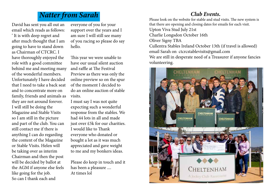# *Natter from Sarah*

David has sent you all out an email which reads as follows: ' It is with deep regret and after much thought that I am going to have to stand down as Chairman of CTCRC. I have thoroughly enjoyed the role with a good committee behind me and meeting many of the wonderful members. Unfortunately I have decided that I need to take a back seat and to concentrate more on family, friends and animals as they are not around forever. I will still be doing the Magazine and Stable Visits so I am still in the picture and part of the club. You can still contact me if there is anything I can do regarding the content of the Magazine or Stable Visits. Helen will be taking over as interim Chairman and then the post will be decided by ballot at the AGM if anyone else feels like going for the job. So can I thank each and

everyone of you for your support over the years and I am sure I will still see many of you racing so please do say hello.

This year we were unable to have our usual silent auction and raffle at The Festival Preview as there was only the online preview so on the spur of the moment I decided to do an online auction of stable visits.

I must say I was not quite expecting such a wonderful response from the stables. We had 44 lots in all and made just over £5k for our charities. I would like to Thank everyone who donated or bought a lot as it was much appreciated and gave weight to me and my bonkers ideas.

Please do keep in touch and it has been a pleasure .... At times lol

# *Club Events.*

Please look on the website for stable and stud visits. The new system is that there are opening and closing dates for emails for each visit. Upton Viva Stud July 21st Charlie Longsdon October 16th Oliver Signy TBA Cullentra Stables Ireland October 13th (if travel is allowed) email Sarah on ctcrcstablevisits@gmail.com We are still in desperate need of a Treasurer if anyone fancies volunteering.